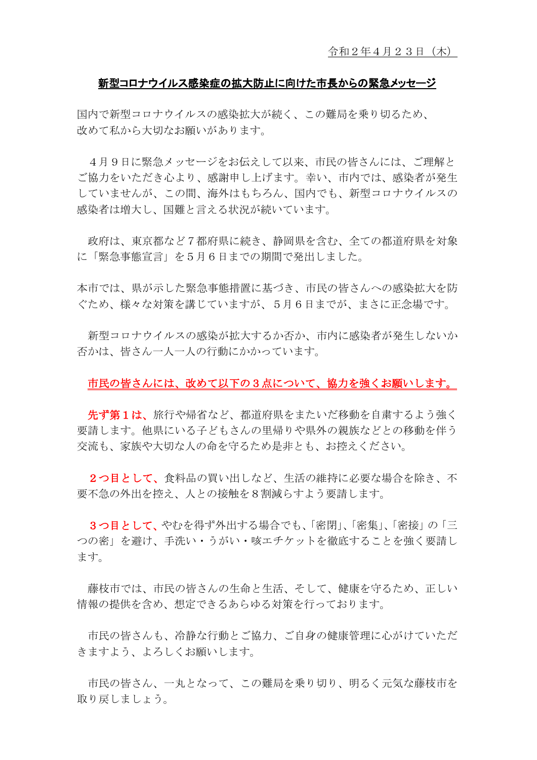## 新型コロナウイルス感染症の拡大防止に向けた市長からの緊急メッセージ

国内で新型コロナウイルスの感染拡大が続く、この難局を乗り切るため、 改めて私から大切なお願いがあります。

4月9日に緊急メッセージをお伝えして以来、市民の皆さんには、ご理解と ご協力をいただき心より、感謝申し上げます。幸い、市内では、感染者が発生 していませんが、この間、海外はもちろん、国内でも、新型コロナウイルスの 感染者は増大し、国難と言える状況が続いています。

政府は、東京都など7都府県に続き、静岡県を含む、全ての都道府県を対象 に「緊急事態宣言」を5月6日までの期間で発出しました。

本市では、県が示した緊急事態措置に基づき、市民の皆さんへの感染拡大を防 ぐため、様々な対策を講じていますが、5月6日までが、まさに正念場です。

新型コロナウイルスの感染が拡大するか否か、市内に感染者が発生しないか 否かは、皆さん一人一人の行動にかかっています。

## 市民の皆さんには、改めて以下の3点について、協力を強くお願いします。

先ず第1は、旅行や帰省など、都道府県をまたいだ移動を自粛するよう強く 要請します。他県にいる子どもさんの里帰りや県外の親族などとの移動を伴う 交流も、家族や大切な人の命を守るため是非とも、お控えください。

2つ目として、食料品の買い出しなど、生活の維持に必要な場合を除き、不 要不急の外出を控え、人との接触を8割減らすよう要請します。

3つ目として、やむを得ず外出する場合でも、「密閉」、「密集」、「密接」の「三 つの密」を避け、手洗い・うがい・咳エチケットを徹底することを強く要請し ます。

藤枝市では、市民の皆さんの生命と生活、そして、健康を守るため、正しい 情報の提供を含め、想定できるあらゆる対策を行っております。

市民の皆さんも、冷静な行動とご協力、ご自身の健康管理に心がけていただ きますよう、よろしくお願いします。

市民の皆さん、一丸となって、この難局を乗り切り、明るく元気な藤枝市を 取り戻しましょう。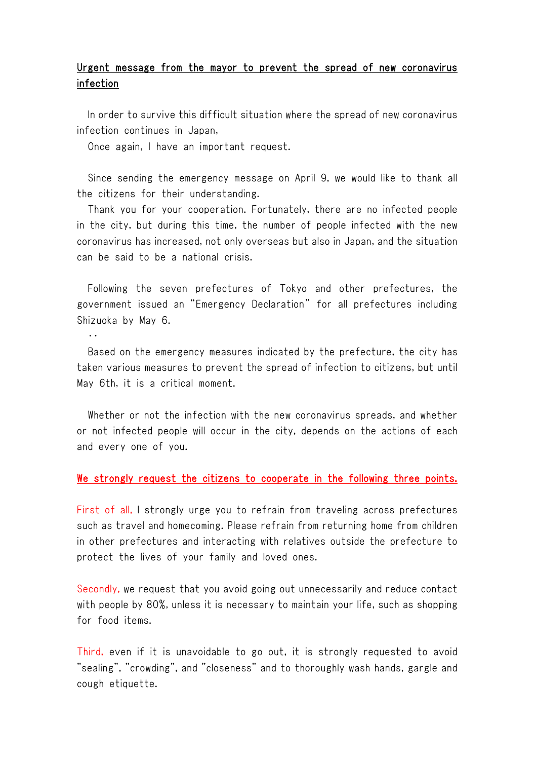## Urgent message from the mayor to prevent the spread of new coronavirus infection

In order to survive this difficult situation where the spread of new coronavirus infection continues in Japan,

Once again, I have an important request.

‥

Since sending the emergency message on April 9, we would like to thank all the citizens for their understanding.

Thank you for your cooperation. Fortunately, there are no infected people in the city, but during this time, the number of people infected with the new coronavirus has increased, not only overseas but also in Japan, and the situation can be said to be a national crisis.

Following the seven prefectures of Tokyo and other prefectures, the government issued an "Emergency Declaration" for all prefectures including Shizuoka by May 6.

Based on the emergency measures indicated by the prefecture, the city has taken various measures to prevent the spread of infection to citizens, but until May 6th, it is a critical moment.

Whether or not the infection with the new coronavirus spreads, and whether or not infected people will occur in the city, depends on the actions of each and every one of you.

## We strongly request the citizens to cooperate in the following three points.

First of all, I strongly urge you to refrain from traveling across prefectures such as travel and homecoming. Please refrain from returning home from children in other prefectures and interacting with relatives outside the prefecture to protect the lives of your family and loved ones.

Secondly, we request that you avoid going out unnecessarily and reduce contact with people by 80%, unless it is necessary to maintain your life, such as shopping for food items.

Third, even if it is unavoidable to go out, it is strongly requested to avoid "sealing", "crowding", and "closeness" and to thoroughly wash hands, gargle and cough etiquette.